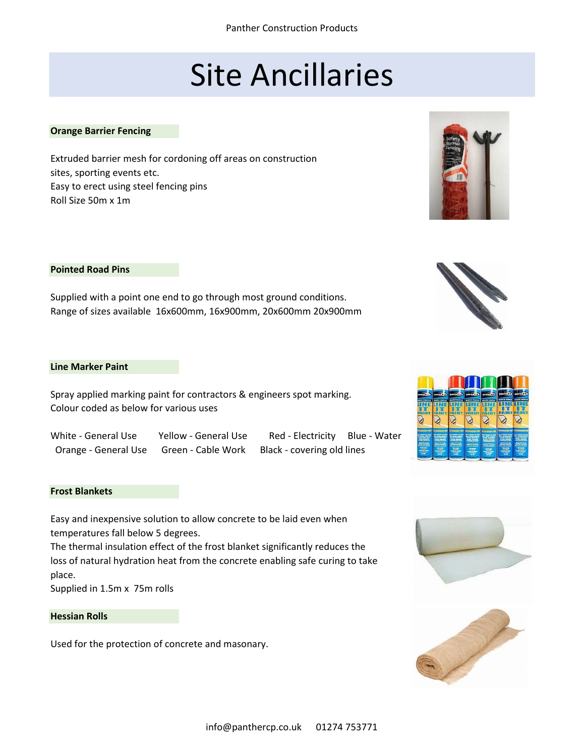# Site Ancillaries

#### **Orange Barrier Fencing**

Extruded barrier mesh for cordoning off areas on construction sites, sporting events etc. Easy to erect using steel fencing pins Roll Size 50m x 1m

## **Pointed Road Pins**

Supplied with a point one end to go through most ground conditions. Range of sizes available 16x600mm, 16x900mm, 20x600mm 20x900mm

#### **Line Marker Paint**

Spray applied marking paint for contractors & engineers spot marking. Colour coded as below for various uses

Orange - General Use Green - Cable Work Black - covering old lines

White - General Use Yellow - General Use Red - Electricity Blue - Water

#### **Frost Blankets**

Easy and inexpensive solution to allow concrete to be laid even when temperatures fall below 5 degrees.

The thermal insulation effect of the frost blanket significantly reduces the loss of natural hydration heat from the concrete enabling safe curing to take place.

Supplied in 1.5m x 75m rolls

# **Hessian Rolls**

Used for the protection of concrete and masonary.







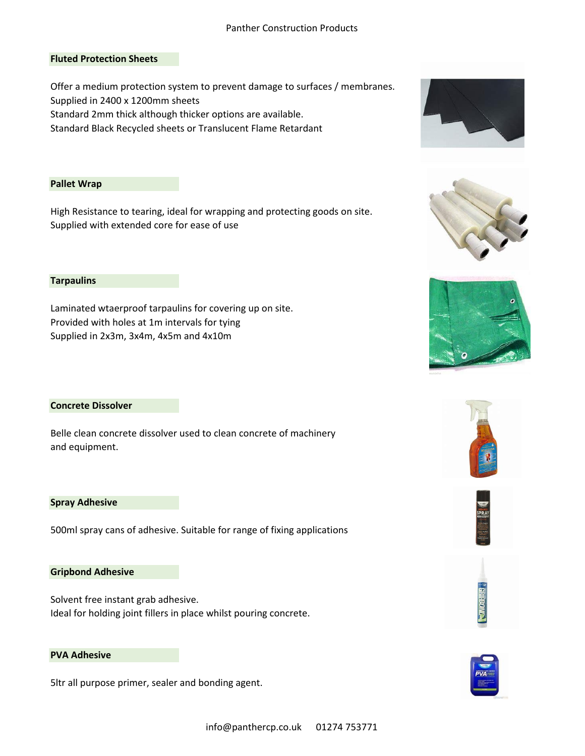## Panther Construction Products

## **Fluted Protection Sheets**

Offer a medium protection system to prevent damage to surfaces / membranes. Supplied in 2400 x 1200mm sheets Standard 2mm thick although thicker options are available.

Standard Black Recycled sheets or Translucent Flame Retardant

#### **Pallet Wrap**

High Resistance to tearing, ideal for wrapping and protecting goods on site. Supplied with extended core for ease of use

## **Tarpaulins**

Laminated wtaerproof tarpaulins for covering up on site. Provided with holes at 1m intervals for tying Supplied in 2x3m, 3x4m, 4x5m and 4x10m

#### **Concrete Dissolver**

Belle clean concrete dissolver used to clean concrete of machinery and equipment.

#### **Spray Adhesive**

500ml spray cans of adhesive. Suitable for range of fixing applications

#### **Gripbond Adhesive**

Solvent free instant grab adhesive. Ideal for holding joint fillers in place whilst pouring concrete.

#### **PVA Adhesive**

5ltr all purpose primer, sealer and bonding agent.













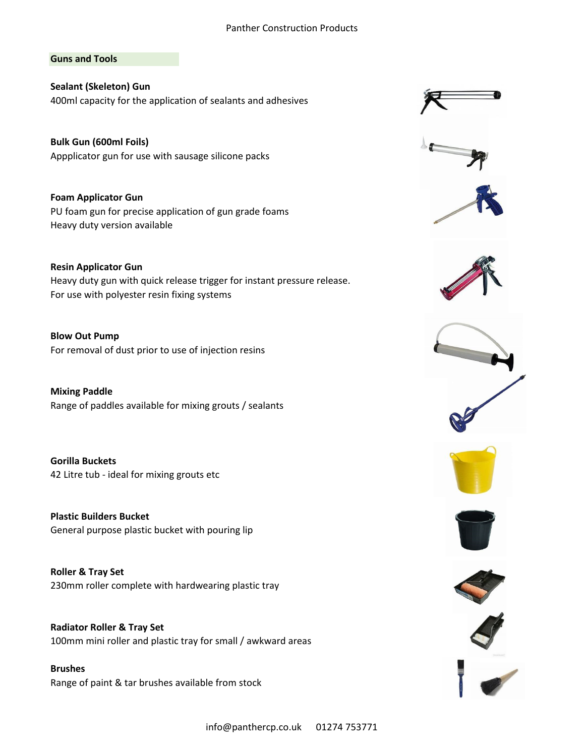## Panther Construction Products

## **Guns and Tools**

**Sealant (Skeleton) Gun** 400ml capacity for the application of sealants and adhesives

**Bulk Gun (600ml Foils)** Appplicator gun for use with sausage silicone packs

**Foam Applicator Gun** PU foam gun for precise application of gun grade foams Heavy duty version available

**Resin Applicator Gun** Heavy duty gun with quick release trigger for instant pressure release. For use with polyester resin fixing systems

**Blow Out Pump** For removal of dust prior to use of injection resins

**Mixing Paddle** Range of paddles available for mixing grouts / sealants

**Gorilla Buckets** 42 Litre tub - ideal for mixing grouts etc

**Plastic Builders Bucket** General purpose plastic bucket with pouring lip

**Roller & Tray Set** 230mm roller complete with hardwearing plastic tray

**Radiator Roller & Tray Set** 100mm mini roller and plastic tray for small / awkward areas

**Brushes** Range of paint & tar brushes available from stock